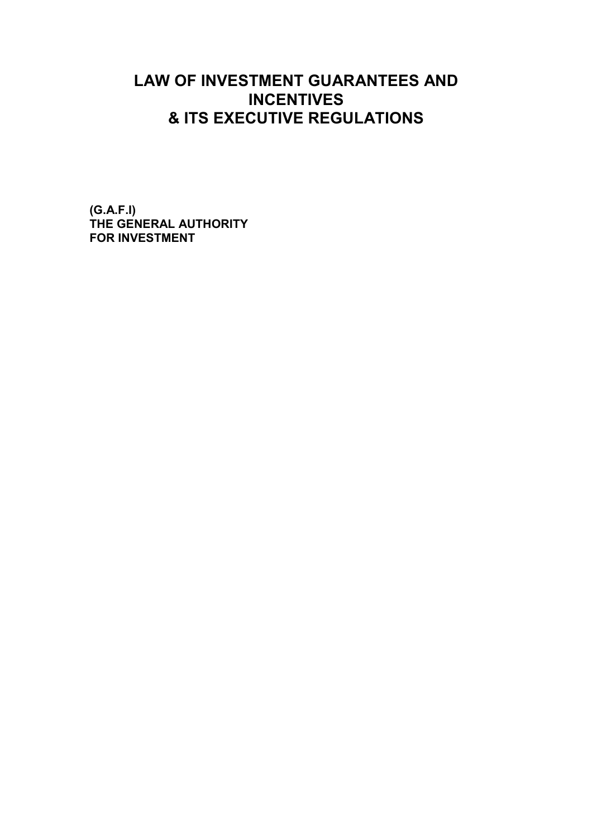# **LAW OF INVESTMENT GUARANTEES AND INCENTIVES & ITS EXECUTIVE REGULATIONS**

**(G.A.F.I) THE GENERAL AUTHORITY FOR INVESTMENT**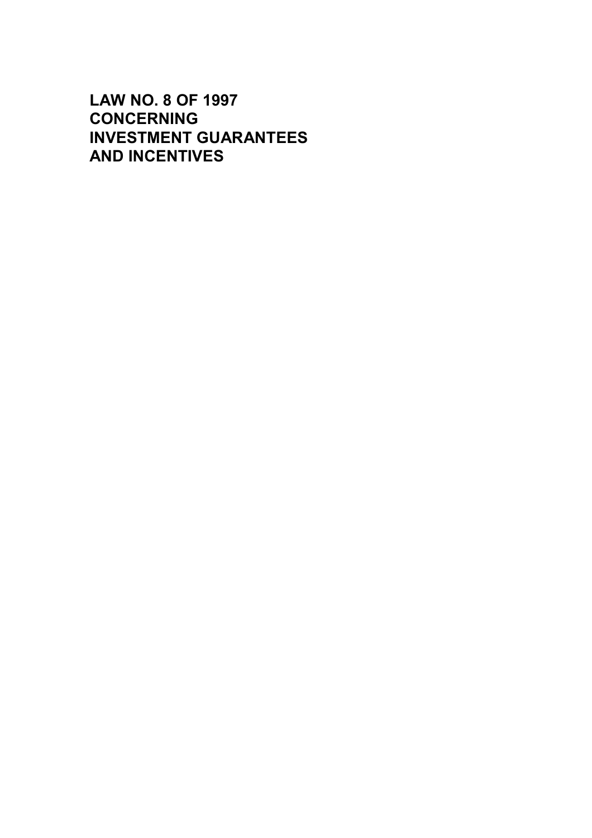# **LAW NO. 8 OF 1997 CONCERNING INVESTMENT GUARANTEES AND INCENTIVES**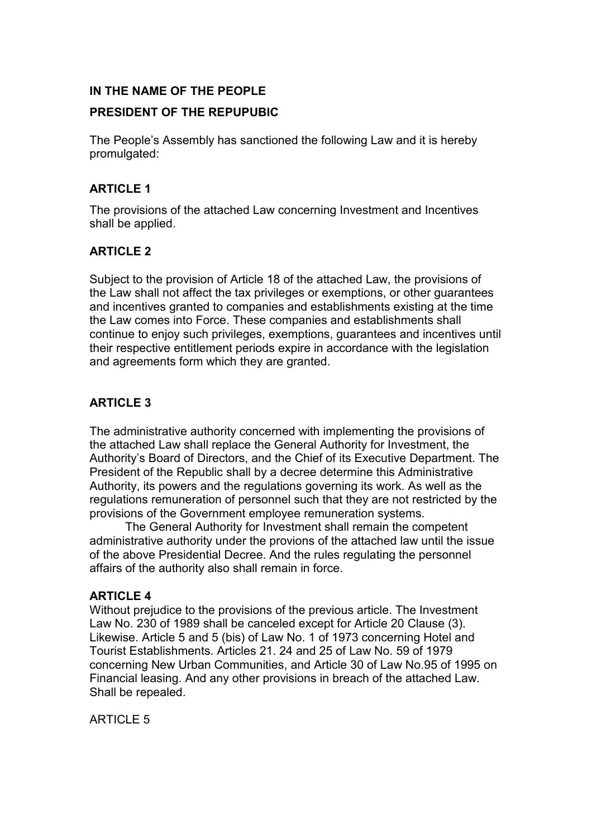# **IN THE NAME OF THE PEOPLE**

# **PRESIDENT OF THE REPUPUBIC**

The People's Assembly has sanctioned the following Law and it is hereby promulgated:

# **ARTICLE 1**

The provisions of the attached Law concerning Investment and Incentives shall be applied.

# **ARTICLE 2**

Subject to the provision of Article 18 of the attached Law, the provisions of the Law shall not affect the tax privileges or exemptions, or other guarantees and incentives granted to companies and establishments existing at the time the Law comes into Force. These companies and establishments shall continue to enjoy such privileges, exemptions, guarantees and incentives until their respective entitlement periods expire in accordance with the legislation and agreements form which they are granted.

# **ARTICLE 3**

The administrative authority concerned with implementing the provisions of the attached Law shall replace the General Authority for Investment, the Authority's Board of Directors, and the Chief of its Executive Department. The President of the Republic shall by a decree determine this Administrative Authority, its powers and the regulations governing its work. As well as the regulations remuneration of personnel such that they are not restricted by the provisions of the Government employee remuneration systems.

The General Authority for Investment shall remain the competent administrative authority under the provions of the attached law until the issue of the above Presidential Decree. And the rules regulating the personnel affairs of the authority also shall remain in force.

## **ARTICLE 4**

Without prejudice to the provisions of the previous article. The Investment Law No. 230 of 1989 shall be canceled except for Article 20 Clause (3). Likewise. Article 5 and 5 (bis) of Law No. 1 of 1973 concerning Hotel and Tourist Establishments. Articles 21. 24 and 25 of Law No. 59 of 1979 concerning New Urban Communities, and Article 30 of Law No.95 of 1995 on Financial leasing. And any other provisions in breach of the attached Law. Shall be repealed.

**ARTICLE 5**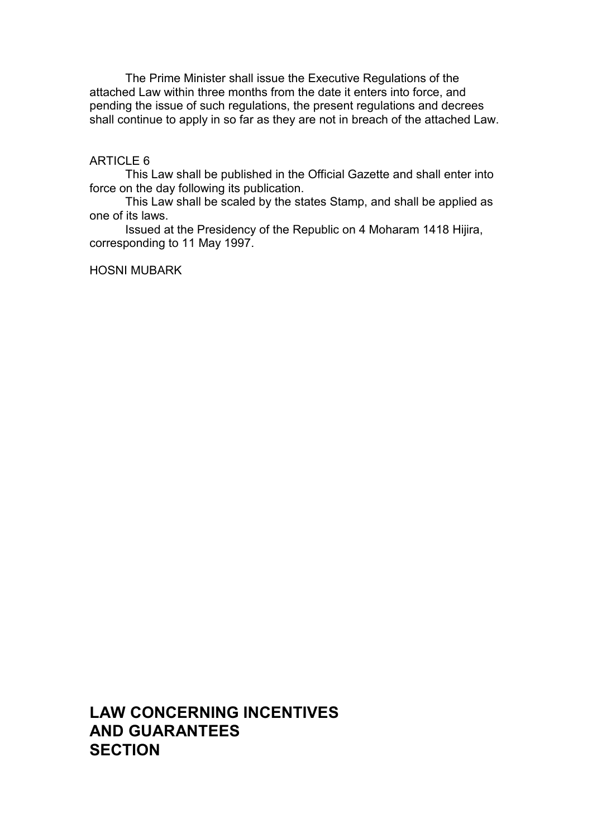The Prime Minister shall issue the Executive Regulations of the attached Law within three months from the date it enters into force, and pending the issue of such regulations, the present regulations and decrees shall continue to apply in so far as they are not in breach of the attached Law.

## ARTICLE 6

This Law shall be published in the Official Gazette and shall enter into force on the day following its publication.

This Law shall be scaled by the states Stamp, and shall be applied as one of its laws.

Issued at the Presidency of the Republic on 4 Moharam 1418 Hijira, corresponding to 11 May 1997.

## HOSNI MUBARK

**LAW CONCERNING INCENTIVES AND GUARANTEES SECTION**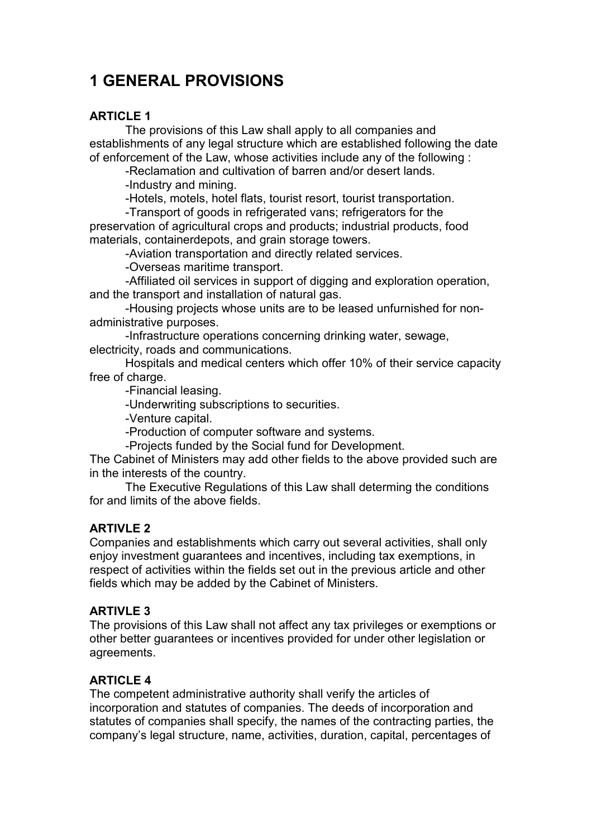# **1 GENERAL PROVISIONS**

# **ARTICLE 1**

The provisions of this Law shall apply to all companies and establishments of any legal structure which are established following the date of enforcement of the Law, whose activities include any of the following :

-Reclamation and cultivation of barren and/or desert lands.

-Industry and mining.

-Hotels, motels, hotel flats, tourist resort, tourist transportation.

-Transport of goods in refrigerated vans; refrigerators for the preservation of agricultural crops and products; industrial products, food materials, containerdepots, and grain storage towers.

-Aviation transportation and directly related services.

-Overseas maritime transport.

-Affiliated oil services in support of digging and exploration operation, and the transport and installation of natural gas.

-Housing projects whose units are to be leased unfurnished for nonadministrative purposes.

-Infrastructure operations concerning drinking water, sewage, electricity, roads and communications.

Hospitals and medical centers which offer 10% of their service capacity free of charge.

-Financial leasing.

-Underwriting subscriptions to securities.

-Venture capital.

-Production of computer software and systems.

-Projects funded by the Social fund for Development.

The Cabinet of Ministers may add other fields to the above provided such are in the interests of the country.

The Executive Regulations of this Law shall determing the conditions for and limits of the above fields.

# **ARTIVLE 2**

Companies and establishments which carry out several activities, shall only enjoy investment guarantees and incentives, including tax exemptions, in respect of activities within the fields set out in the previous article and other fields which may be added by the Cabinet of Ministers.

## **ARTIVLE 3**

The provisions of this Law shall not affect any tax privileges or exemptions or other better guarantees or incentives provided for under other legislation or agreements.

## **ARTICLE 4**

The competent administrative authority shall verify the articles of incorporation and statutes of companies. The deeds of incorporation and statutes of companies shall specify, the names of the contracting parties, the company's legal structure, name, activities, duration, capital, percentages of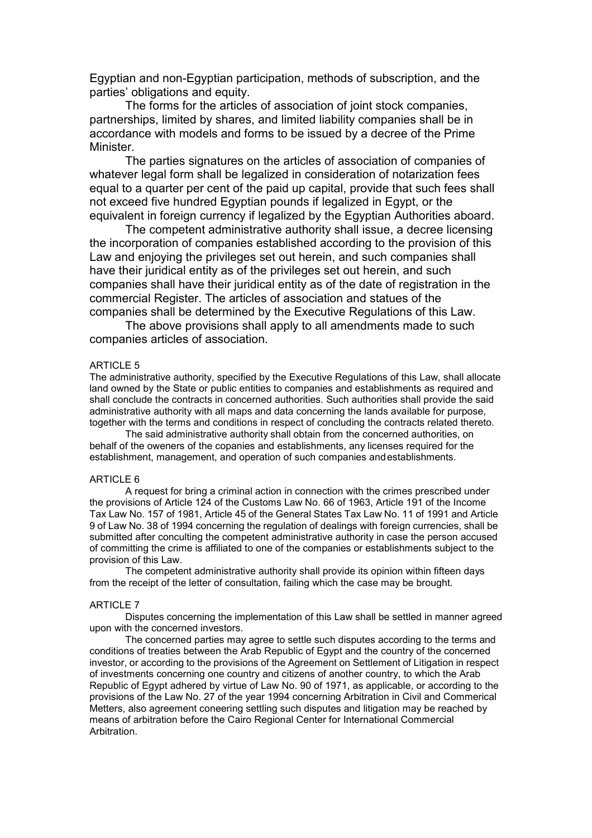Egyptian and non-Egyptian participation, methods of subscription, and the parties' obligations and equity.

The forms for the articles of association of joint stock companies, partnerships, limited by shares, and limited liability companies shall be in accordance with models and forms to be issued by a decree of the Prime Minister.

The parties signatures on the articles of association of companies of whatever legal form shall be legalized in consideration of notarization fees equal to a quarter per cent of the paid up capital, provide that such fees shall not exceed five hundred Egyptian pounds if legalized in Egypt, or the equivalent in foreign currency if legalized by the Egyptian Authorities aboard.

The competent administrative authority shall issue, a decree licensing the incorporation of companies established according to the provision of this Law and enjoying the privileges set out herein, and such companies shall have their juridical entity as of the privileges set out herein, and such companies shall have their juridical entity as of the date of registration in the commercial Register. The articles of association and statues of the companies shall be determined by the Executive Regulations of this Law.

The above provisions shall apply to all amendments made to such companies articles of association.

### ARTICLE 5

The administrative authority, specified by the Executive Regulations of this Law, shall allocate land owned by the State or public entities to companies and establishments as required and shall conclude the contracts in concerned authorities. Such authorities shall provide the said administrative authority with all maps and data concerning the lands available for purpose, together with the terms and conditions in respect of concluding the contracts related thereto.

The said administrative authority shall obtain from the concerned authorities, on behalf of the oweners of the copanies and establishments, any licenses required for the establishment, management, and operation of such companies and establishments.

#### ARTICLE 6

A request for bring a criminal action in connection with the crimes prescribed under the provisions of Article 124 of the Customs Law No. 66 of 1963, Article 191 of the Income Tax Law No. 157 of 1981, Article 45 of the General States Tax Law No. 11 of 1991 and Article 9 of Law No. 38 of 1994 concerning the regulation of dealings with foreign currencies, shall be submitted after conculting the competent administrative authority in case the person accused of committing the crime is affiliated to one of the companies or establishments subject to the provision of this Law.

The competent administrative authority shall provide its opinion within fifteen days from the receipt of the letter of consultation, failing which the case may be brought.

#### ARTICLE 7

Disputes concerning the implementation of this Law shall be settled in manner agreed upon with the concerned investors.

The concerned parties may agree to settle such disputes according to the terms and conditions of treaties between the Arab Republic of Egypt and the country of the concerned investor, or according to the provisions of the Agreement on Settlement of Litigation in respect of investments concerning one country and citizens of another country, to which the Arab Republic of Egypt adhered by virtue of Law No. 90 of 1971, as applicable, or according to the provisions of the Law No. 27 of the year 1994 concerning Arbitration in Civil and Commerical Metters, also agreement coneering settling such disputes and litigation may be reached by means of arbitration before the Cairo Regional Center for International Commercial Arbitration.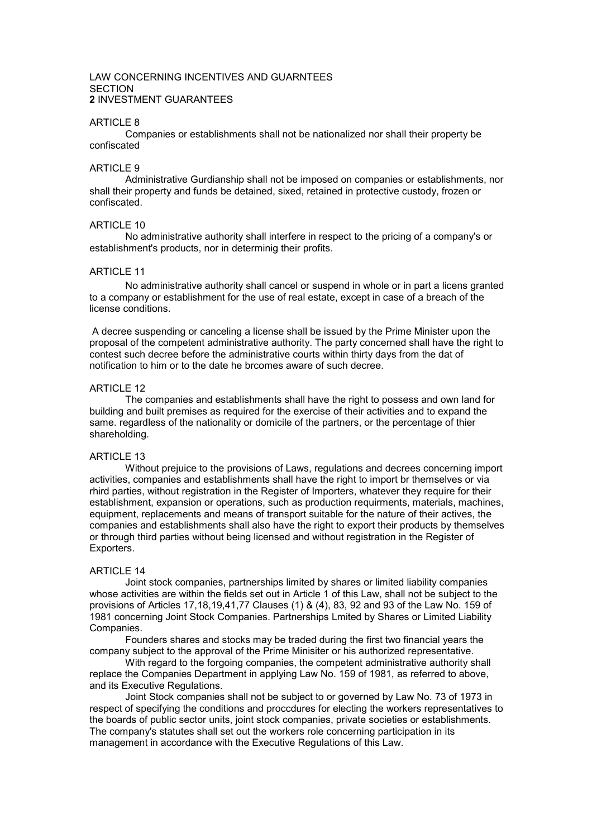#### LAW CONCERNING INCENTIVES AND GUARNTEES **SECTION 2** INVESTMENT GUARANTEES

#### ARTICLE 8

Companies or establishments shall not be nationalized nor shall their property be confiscated

#### ARTICLE 9

Administrative Gurdianship shall not be imposed on companies or establishments, nor shall their property and funds be detained, sixed, retained in protective custody, frozen or confiscated.

#### ARTICLE 10

No administrative authority shall interfere in respect to the pricing of a company's or establishment's products, nor in determinig their profits.

### ARTICLE 11

No administrative authority shall cancel or suspend in whole or in part a licens granted to a company or establishment for the use of real estate, except in case of a breach of the license conditions.

A decree suspending or canceling a license shall be issued by the Prime Minister upon the proposal of the competent administrative authority. The party concerned shall have the right to contest such decree before the administrative courts within thirty days from the dat of notification to him or to the date he brcomes aware of such decree.

### ARTICLE 12

The companies and establishments shall have the right to possess and own land for building and built premises as required for the exercise of their activities and to expand the same. regardless of the nationality or domicile of the partners, or the percentage of thier shareholding.

### ARTICLE 13

Without prejuice to the provisions of Laws, regulations and decrees concerning import activities, companies and establishments shall have the right to import br themselves or via rhird parties, without registration in the Register of Importers, whatever they require for their establishment, expansion or operations, such as production requirments, materials, machines, equipment, replacements and means of transport suitable for the nature of their actives, the companies and establishments shall also have the right to export their products by themselves or through third parties without being licensed and without registration in the Register of Exporters.

#### ARTICLE 14

Joint stock companies, partnerships limited by shares or limited liability companies whose activities are within the fields set out in Article 1 of this Law, shall not be subject to the provisions of Articles 17,18,19,41,77 Clauses (1) & (4), 83, 92 and 93 of the Law No. 159 of 1981 concerning Joint Stock Companies. Partnerships Lmited by Shares or Limited Liability Companies.

Founders shares and stocks may be traded during the first two financial years the company subject to the approval of the Prime Minisiter or his authorized representative.

With regard to the forgoing companies, the competent administrative authority shall replace the Companies Department in applying Law No. 159 of 1981, as referred to above, and its Executive Regulations.

Joint Stock companies shall not be subject to or governed by Law No. 73 of 1973 in respect of specifying the conditions and proccdures for electing the workers representatives to the boards of public sector units, joint stock companies, private societies or establishments. The company's statutes shall set out the workers role concerning participation in its management in accordance with the Executive Regulations of this Law.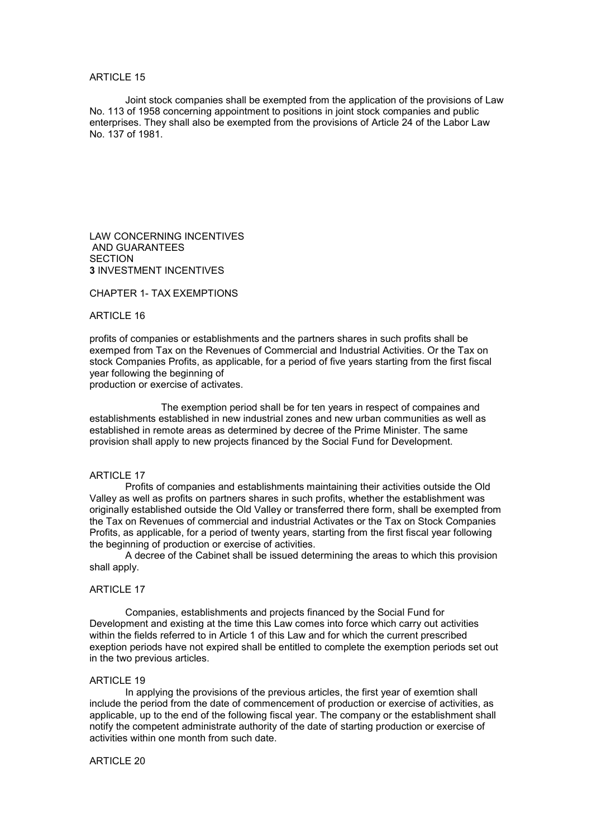#### ARTICLE 15

Joint stock companies shall be exempted from the application of the provisions of Law No. 113 of 1958 concerning appointment to positions in joint stock companies and public enterprises. They shall also be exempted from the provisions of Article 24 of the Labor Law No. 137 of 1981.

LAW CONCERNING INCENTIVES AND GUARANTEES **SECTION 3** INVESTMENT INCENTIVES

CHAPTER 1- TAX EXEMPTIONS

#### ARTICLE 16

profits of companies or establishments and the partners shares in such profits shall be exemped from Tax on the Revenues of Commercial and Industrial Activities. Or the Tax on stock Companies Profits, as applicable, for a period of five years starting from the first fiscal year following the beginning of

production or exercise of activates.

The exemption period shall be for ten years in respect of compaines and establishments established in new industrial zones and new urban communities as well as established in remote areas as determined by decree of the Prime Minister. The same provision shall apply to new projects financed by the Social Fund for Development.

#### **ARTICLE 17**

Profits of companies and establishments maintaining their activities outside the Old Valley as well as profits on partners shares in such profits, whether the establishment was originally established outside the Old Valley or transferred there form, shall be exempted from the Tax on Revenues of commercial and industrial Activates or the Tax on Stock Companies Profits, as applicable, for a period of twenty years, starting from the first fiscal year following the beginning of production or exercise of activities.

A decree of the Cabinet shall be issued determining the areas to which this provision shall apply.

#### ARTICLE 17

Companies, establishments and projects financed by the Social Fund for Development and existing at the time this Law comes into force which carry out activities within the fields referred to in Article 1 of this Law and for which the current prescribed exeption periods have not expired shall be entitled to complete the exemption periods set out in the two previous articles.

#### ARTICLE 19

In applying the provisions of the previous articles, the first year of exemtion shall include the period from the date of commencement of production or exercise of activities, as applicable, up to the end of the following fiscal year. The company or the establishment shall notify the competent administrate authority of the date of starting production or exercise of activities within one month from such date.

#### ARTICLE 20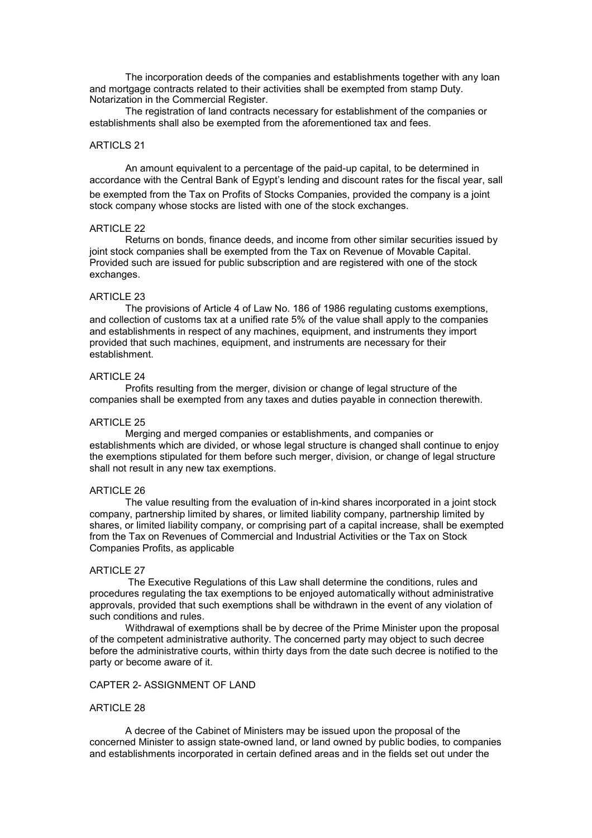The incorporation deeds of the companies and establishments together with any loan and mortgage contracts related to their activities shall be exempted from stamp Duty. Notarization in the Commercial Register.

The registration of land contracts necessary for establishment of the companies or establishments shall also be exempted from the aforementioned tax and fees.

#### ARTICLS 21

An amount equivalent to a percentage of the paid-up capital, to be determined in accordance with the Central Bank of Egypt's lending and discount rates for the fiscal year, sall be exempted from the Tax on Profits of Stocks Companies, provided the company is a joint stock company whose stocks are listed with one of the stock exchanges.

#### ARTICLE 22

Returns on bonds, finance deeds, and income from other similar securities issued by joint stock companies shall be exempted from the Tax on Revenue of Movable Capital. Provided such are issued for public subscription and are registered with one of the stock exchanges.

#### ARTICLE 23

The provisions of Article 4 of Law No. 186 of 1986 regulating customs exemptions, and collection of customs tax at a unified rate 5% of the value shall apply to the companies and establishments in respect of any machines, equipment, and instruments they import provided that such machines, equipment, and instruments are necessary for their establishment.

#### ARTICLE 24

Profits resulting from the merger, division or change of legal structure of the companies shall be exempted from any taxes and duties payable in connection therewith.

#### ARTICLE 25

Merging and merged companies or establishments, and companies or establishments which are divided, or whose legal structure is changed shall continue to enjoy the exemptions stipulated for them before such merger, division, or change of legal structure shall not result in any new tax exemptions.

#### ARTICLE 26

The value resulting from the evaluation of in-kind shares incorporated in a joint stock company, partnership limited by shares, or limited liability company, partnership limited by shares, or limited liability company, or comprising part of a capital increase, shall be exempted from the Tax on Revenues of Commercial and Industrial Activities or the Tax on Stock Companies Profits, as applicable

#### ARTICLE 27

The Executive Regulations of this Law shall determine the conditions, rules and procedures regulating the tax exemptions to be enjoyed automatically without administrative approvals, provided that such exemptions shall be withdrawn in the event of any violation of such conditions and rules.

Withdrawal of exemptions shall be by decree of the Prime Minister upon the proposal of the competent administrative authority. The concerned party may object to such decree before the administrative courts, within thirty days from the date such decree is notified to the party or become aware of it.

#### CAPTER 2- ASSIGNMENT OF LAND

#### ARTICLE 28

A decree of the Cabinet of Ministers may be issued upon the proposal of the concerned Minister to assign state-owned land, or land owned by public bodies, to companies and establishments incorporated in certain defined areas and in the fields set out under the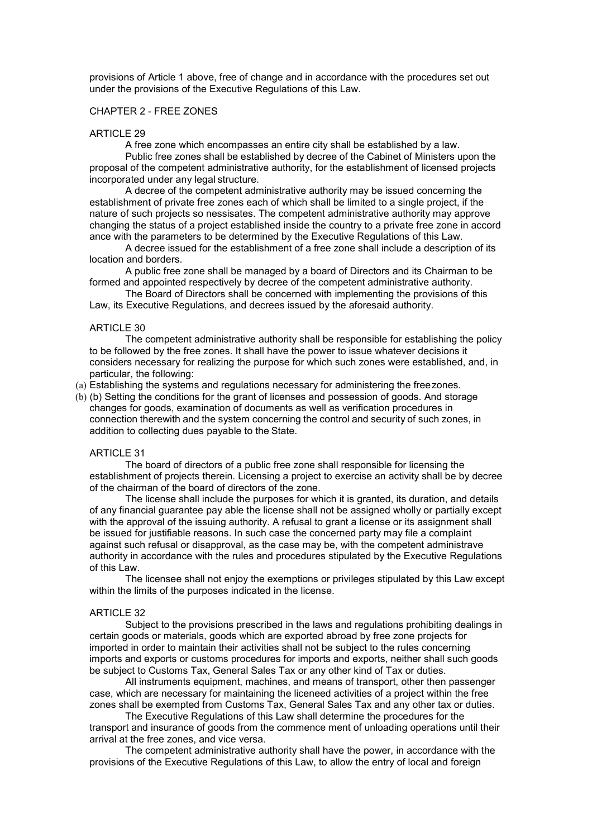provisions of Article 1 above, free of change and in accordance with the procedures set out under the provisions of the Executive Regulations of this Law.

#### CHAPTER 2 - FREE ZONES

#### ARTICLE 29

A free zone which encompasses an entire city shall be established by a law.

Public free zones shall be established by decree of the Cabinet of Ministers upon the proposal of the competent administrative authority, for the establishment of licensed projects incorporated under any legal structure.

A decree of the competent administrative authority may be issued concerning the establishment of private free zones each of which shall be limited to a single project, if the nature of such projects so nessisates. The competent administrative authority may approve changing the status of a project established inside the country to a private free zone in accord ance with the parameters to be determined by the Executive Regulations of this Law.

A decree issued for the establishment of a free zone shall include a description of its location and borders.

A public free zone shall be managed by a board of Directors and its Chairman to be formed and appointed respectively by decree of the competent administrative authority.

The Board of Directors shall be concerned with implementing the provisions of this Law, its Executive Regulations, and decrees issued by the aforesaid authority.

#### ARTICLE 30

The competent administrative authority shall be responsible for establishing the policy to be followed by the free zones. It shall have the power to issue whatever decisions it considers necessary for realizing the purpose for which such zones were established, and, in particular, the following:

(a) Establishing the systems and regulations necessary for administering the free zones.

(b) (b) Setting the conditions for the grant of licenses and possession of goods. And storage changes for goods, examination of documents as well as verification procedures in connection therewith and the system concerning the control and security of such zones, in addition to collecting dues payable to the State.

#### ARTICLE 31

The board of directors of a public free zone shall responsible for licensing the establishment of projects therein. Licensing a project to exercise an activity shall be by decree of the chairman of the board of directors of the zone.

The license shall include the purposes for which it is granted, its duration, and details of any financial guarantee pay able the license shall not be assigned wholly or partially except with the approval of the issuing authority. A refusal to grant a license or its assignment shall be issued for justifiable reasons. In such case the concerned party may file a complaint against such refusal or disapproval, as the case may be, with the competent administrave authority in accordance with the rules and procedures stipulated by the Executive Regulations of this Law.

The licensee shall not enjoy the exemptions or privileges stipulated by this Law except within the limits of the purposes indicated in the license.

#### ARTICLE 32

Subject to the provisions prescribed in the laws and regulations prohibiting dealings in certain goods or materials, goods which are exported abroad by free zone projects for imported in order to maintain their activities shall not be subject to the rules concerning imports and exports or customs procedures for imports and exports, neither shall such goods be subject to Customs Tax, General Sales Tax or any other kind of Tax or duties.

All instruments equipment, machines, and means of transport, other then passenger case, which are necessary for maintaining the liceneed activities of a project within the free zones shall be exempted from Customs Tax, General Sales Tax and any other tax or duties.

The Executive Regulations of this Law shall determine the procedures for the transport and insurance of goods from the commence ment of unloading operations until their arrival at the free zones, and vice versa.

The competent administrative authority shall have the power, in accordance with the provisions of the Executive Regulations of this Law, to allow the entry of local and foreign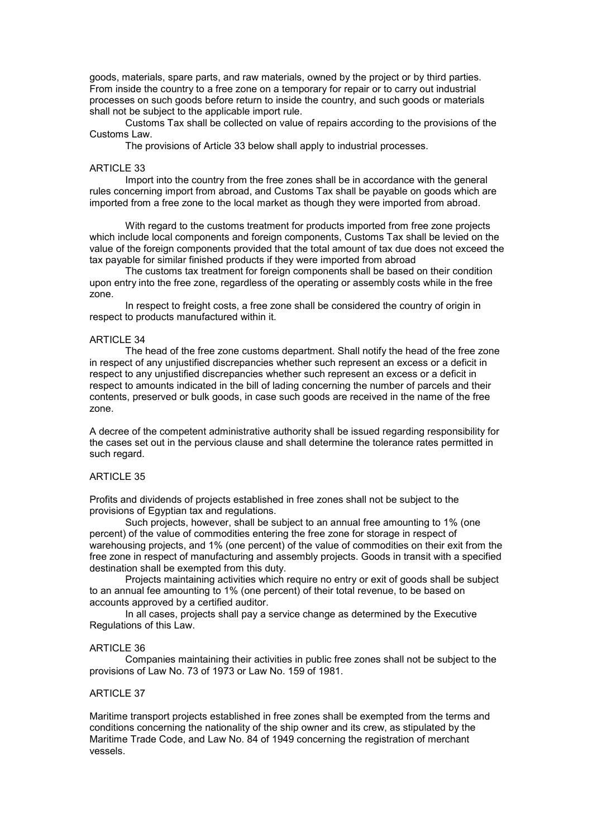goods, materials, spare parts, and raw materials, owned by the project or by third parties. From inside the country to a free zone on a temporary for repair or to carry out industrial processes on such goods before return to inside the country, and such goods or materials shall not be subject to the applicable import rule.

Customs Tax shall be collected on value of repairs according to the provisions of the Customs Law.

The provisions of Article 33 below shall apply to industrial processes.

#### ARTICLE 33

Import into the country from the free zones shall be in accordance with the general rules concerning import from abroad, and Customs Tax shall be payable on goods which are imported from a free zone to the local market as though they were imported from abroad.

With regard to the customs treatment for products imported from free zone projects which include local components and foreign components, Customs Tax shall be levied on the value of the foreign components provided that the total amount of tax due does not exceed the tax payable for similar finished products if they were imported from abroad

The customs tax treatment for foreign components shall be based on their condition upon entry into the free zone, regardless of the operating or assembly costs while in the free zone.

In respect to freight costs, a free zone shall be considered the country of origin in respect to products manufactured within it.

#### ARTICLE 34

The head of the free zone customs department. Shall notify the head of the free zone in respect of any unjustified discrepancies whether such represent an excess or a deficit in respect to any unjustified discrepancies whether such represent an excess or a deficit in respect to amounts indicated in the bill of lading concerning the number of parcels and their contents, preserved or bulk goods, in case such goods are received in the name of the free zone.

A decree of the competent administrative authority shall be issued regarding responsibility for the cases set out in the pervious clause and shall determine the tolerance rates permitted in such regard.

### ARTICLE 35

Profits and dividends of projects established in free zones shall not be subject to the provisions of Egyptian tax and regulations.

Such projects, however, shall be subject to an annual free amounting to 1% (one percent) of the value of commodities entering the free zone for storage in respect of warehousing projects, and 1% (one percent) of the value of commodities on their exit from the free zone in respect of manufacturing and assembly projects. Goods in transit with a specified destination shall be exempted from this duty.

Projects maintaining activities which require no entry or exit of goods shall be subject to an annual fee amounting to 1% (one percent) of their total revenue, to be based on accounts approved by a certified auditor.

In all cases, projects shall pay a service change as determined by the Executive Regulations of this Law.

#### ARTICLE 36

Companies maintaining their activities in public free zones shall not be subject to the provisions of Law No. 73 of 1973 or Law No. 159 of 1981.

### **ARTICLE 37**

Maritime transport projects established in free zones shall be exempted from the terms and conditions concerning the nationality of the ship owner and its crew, as stipulated by the Maritime Trade Code, and Law No. 84 of 1949 concerning the registration of merchant vessels.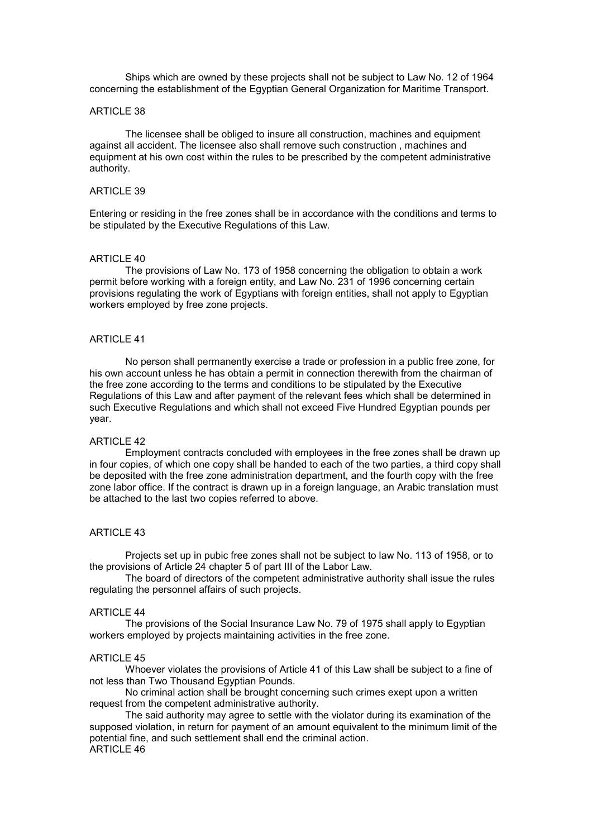Ships which are owned by these projects shall not be subject to Law No. 12 of 1964 concerning the establishment of the Egyptian General Organization for Maritime Transport.

#### ARTICLE 38

The licensee shall be obliged to insure all construction, machines and equipment against all accident. The licensee also shall remove such construction , machines and equipment at his own cost within the rules to be prescribed by the competent administrative authority.

#### ARTICLE 39

Entering or residing in the free zones shall be in accordance with the conditions and terms to be stipulated by the Executive Regulations of this Law.

#### ARTICLE 40

The provisions of Law No. 173 of 1958 concerning the obligation to obtain a work permit before working with a foreign entity, and Law No. 231 of 1996 concerning certain provisions regulating the work of Egyptians with foreign entities, shall not apply to Egyptian workers employed by free zone projects.

#### **ARTICLE 41**

No person shall permanently exercise a trade or profession in a public free zone, for his own account unless he has obtain a permit in connection therewith from the chairman of the free zone according to the terms and conditions to be stipulated by the Executive Regulations of this Law and after payment of the relevant fees which shall be determined in such Executive Regulations and which shall not exceed Five Hundred Egyptian pounds per year.

### ARTICLE 42

Employment contracts concluded with employees in the free zones shall be drawn up in four copies, of which one copy shall be handed to each of the two parties, a third copy shall be deposited with the free zone administration department, and the fourth copy with the free zone labor office. If the contract is drawn up in a foreign language, an Arabic translation must be attached to the last two copies referred to above.

#### ARTICLE 43

Projects set up in pubic free zones shall not be subject to law No. 113 of 1958, or to the provisions of Article 24 chapter 5 of part III of the Labor Law.

The board of directors of the competent administrative authority shall issue the rules regulating the personnel affairs of such projects.

#### ARTICLE 44

The provisions of the Social Insurance Law No. 79 of 1975 shall apply to Egyptian workers employed by projects maintaining activities in the free zone.

#### ARTICLE 45

Whoever violates the provisions of Article 41 of this Law shall be subject to a fine of not less than Two Thousand Egyptian Pounds.

No criminal action shall be brought concerning such crimes exept upon a written request from the competent administrative authority.

The said authority may agree to settle with the violator during its examination of the supposed violation, in return for payment of an amount equivalent to the minimum limit of the potential fine, and such settlement shall end the criminal action.  $ARTICI F 46$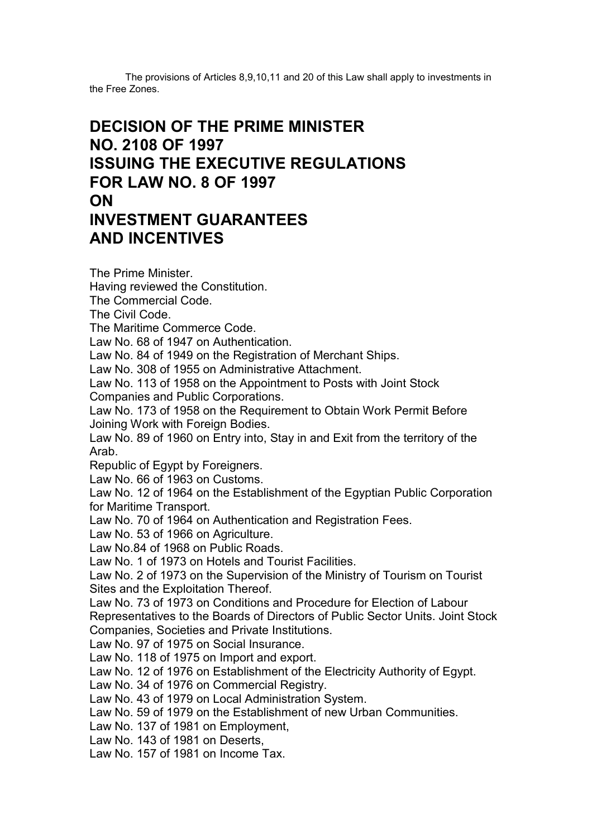The provisions of Articles 8,9,10,11 and 20 of this Law shall apply to investments in the Free Zones.

# **DECISION OF THE PRIME MINISTER NO. 2108 OF 1997 ISSUING THE EXECUTIVE REGULATIONS FOR LAW NO. 8 OF 1997 ON INVESTMENT GUARANTEES AND INCENTIVES**

The Prime Minister. Having reviewed the Constitution. The Commercial Code. The Civil Code. The Maritime Commerce Code. Law No. 68 of 1947 on Authentication. Law No. 84 of 1949 on the Registration of Merchant Ships. Law No. 308 of 1955 on Administrative Attachment. Law No. 113 of 1958 on the Appointment to Posts with Joint Stock Companies and Public Corporations. Law No. 173 of 1958 on the Requirement to Obtain Work Permit Before Joining Work with Foreign Bodies. Law No. 89 of 1960 on Entry into, Stay in and Exit from the territory of the Arab. Republic of Egypt by Foreigners. Law No. 66 of 1963 on Customs. Law No. 12 of 1964 on the Establishment of the Egyptian Public Corporation for Maritime Transport. Law No. 70 of 1964 on Authentication and Registration Fees. Law No. 53 of 1966 on Agriculture. Law No.84 of 1968 on Public Roads. Law No. 1 of 1973 on Hotels and Tourist Facilities. Law No. 2 of 1973 on the Supervision of the Ministry of Tourism on Tourist Sites and the Exploitation Thereof. Law No. 73 of 1973 on Conditions and Procedure for Election of Labour Representatives to the Boards of Directors of Public Sector Units. Joint Stock Companies, Societies and Private Institutions. Law No. 97 of 1975 on Social Insurance. Law No. 118 of 1975 on Import and export. Law No. 12 of 1976 on Establishment of the Electricity Authority of Egypt. Law No. 34 of 1976 on Commercial Registry. Law No. 43 of 1979 on Local Administration System. Law No. 59 of 1979 on the Establishment of new Urban Communities. Law No. 137 of 1981 on Employment, Law No. 143 of 1981 on Deserts, Law No. 157 of 1981 on Income Tax.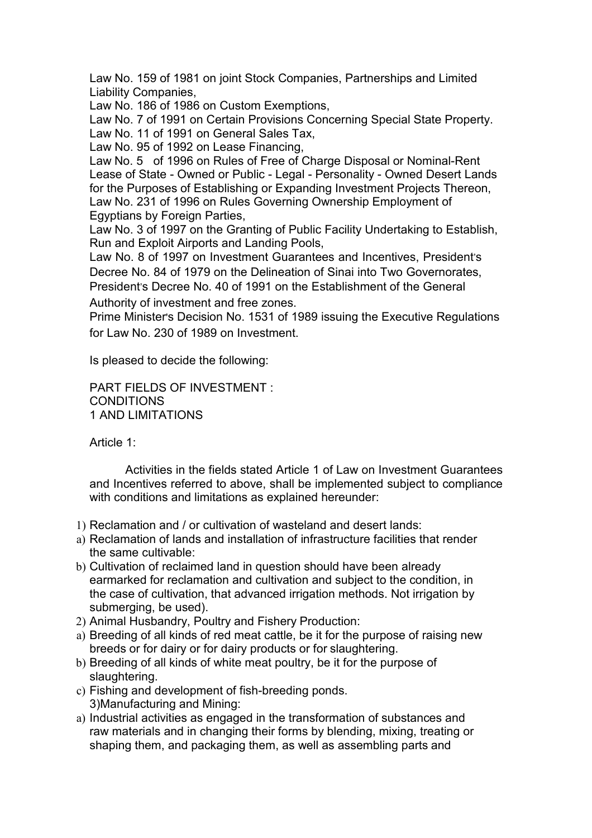Law No. 159 of 1981 on joint Stock Companies, Partnerships and Limited Liability Companies,

Law No. 186 of 1986 on Custom Exemptions,

Law No. 7 of 1991 on Certain Provisions Concerning Special State Property. Law No. 11 of 1991 on General Sales Tax,

Law No. 95 of 1992 on Lease Financing,

Law No. 5 of 1996 on Rules of Free of Charge Disposal or Nominal-Rent Lease of State - Owned or Public - Legal - Personality - Owned Desert Lands for the Purposes of Establishing or Expanding Investment Projects Thereon, Law No. 231 of 1996 on Rules Governing Ownership Employment of Egyptians by Foreign Parties,

Law No. 3 of 1997 on the Granting of Public Facility Undertaking to Establish, Run and Exploit Airports and Landing Pools,

Law No. 8 of 1997 on Investment Guarantees and Incentives, President's Decree No. 84 of 1979 on the Delineation of Sinai into Two Governorates, President's Decree No. 40 of 1991 on the Establishment of the General

Authority of investment and free zones. Prime Minister's Decision No. 1531 of 1989 issuing the Executive Regulations

for Law No. 230 of 1989 on Investment.

Is pleased to decide the following:

PART FIELDS OF INVESTMENT : **CONDITIONS** 1 AND LIMITATIONS

Article 1:

Activities in the fields stated Article 1 of Law on Investment Guarantees and Incentives referred to above, shall be implemented subject to compliance with conditions and limitations as explained hereunder:

- 1) Reclamation and / or cultivation of wasteland and desert lands:
- a) Reclamation of lands and installation of infrastructure facilities that render the same cultivable:
- b) Cultivation of reclaimed land in question should have been already earmarked for reclamation and cultivation and subject to the condition, in the case of cultivation, that advanced irrigation methods. Not irrigation by submerging, be used).
- 2) Animal Husbandry, Poultry and Fishery Production:
- a) Breeding of all kinds of red meat cattle, be it for the purpose of raising new breeds or for dairy or for dairy products or for slaughtering.
- b) Breeding of all kinds of white meat poultry, be it for the purpose of slaughtering.
- c) Fishing and development of fish-breeding ponds. 3)Manufacturing and Mining:
- a) Industrial activities as engaged in the transformation of substances and raw materials and in changing their forms by blending, mixing, treating or shaping them, and packaging them, as well as assembling parts and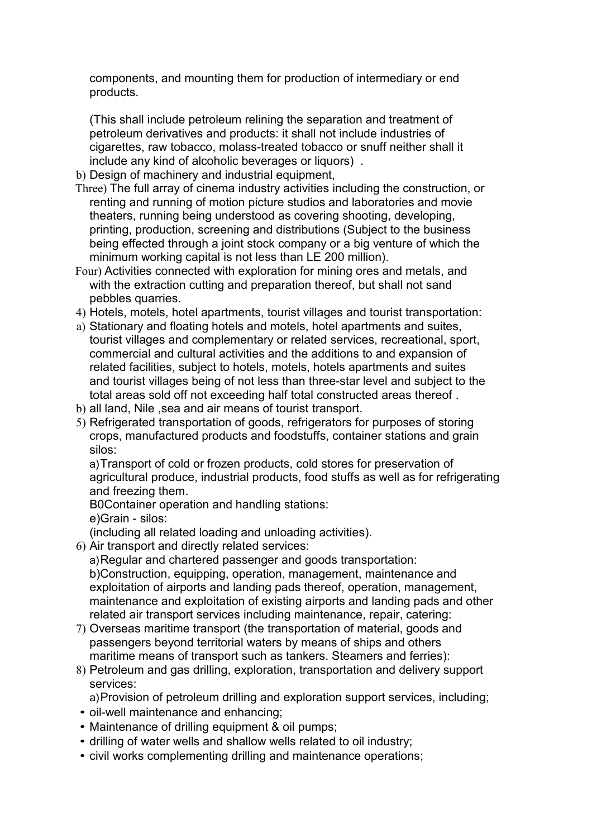components, and mounting them for production of intermediary or end products.

(This shall include petroleum relining the separation and treatment of petroleum derivatives and products: it shall not include industries of cigarettes, raw tobacco, molass-treated tobacco or snuff neither shall it include any kind of alcoholic beverages or liquors) .

- b) Design of machinery and industrial equipment,
- Three) The full array of cinema industry activities including the construction, or renting and running of motion picture studios and laboratories and movie theaters, running being understood as covering shooting, developing, printing, production, screening and distributions (Subject to the business being effected through a joint stock company or a big venture of which the minimum working capital is not less than LE 200 million).
- Four) Activities connected with exploration for mining ores and metals, and with the extraction cutting and preparation thereof, but shall not sand pebbles quarries.
- 4) Hotels, motels, hotel apartments, tourist villages and tourist transportation:
- a) Stationary and floating hotels and motels, hotel apartments and suites, tourist villages and complementary or related services, recreational, sport, commercial and cultural activities and the additions to and expansion of related facilities, subject to hotels, motels, hotels apartments and suites and tourist villages being of not less than three-star level and subject to the total areas sold off not exceeding half total constructed areas thereof .
- b) all land, Nile ,sea and air means of tourist transport.
- 5) Refrigerated transportation of goods, refrigerators for purposes of storing crops, manufactured products and foodstuffs, container stations and grain silos:

a) Transport of cold or frozen products, cold stores for preservation of agricultural produce, industrial products, food stuffs as well as for refrigerating and freezing them.

B0Container operation and handling stations: e)Grain - silos:

(including all related loading and unloading activities).

6) Air transport and directly related services:

a) Regular and chartered passenger and goods transportation: b)Construction, equipping, operation, management, maintenance and exploitation of airports and landing pads thereof, operation, management, maintenance and exploitation of existing airports and landing pads and other related air transport services including maintenance, repair, catering:

- 7) Overseas maritime transport (the transportation of material, goods and passengers beyond territorial waters by means of ships and others maritime means of transport such as tankers. Steamers and ferries):
- 8) Petroleum and gas drilling, exploration, transportation and delivery support services:

a) Provision of petroleum drilling and exploration support services, including;

- oil-well maintenance and enhancing;
- Maintenance of drilling equipment & oil pumps;
- drilling of water wells and shallow wells related to oil industry;
- civil works complementing drilling and maintenance operations;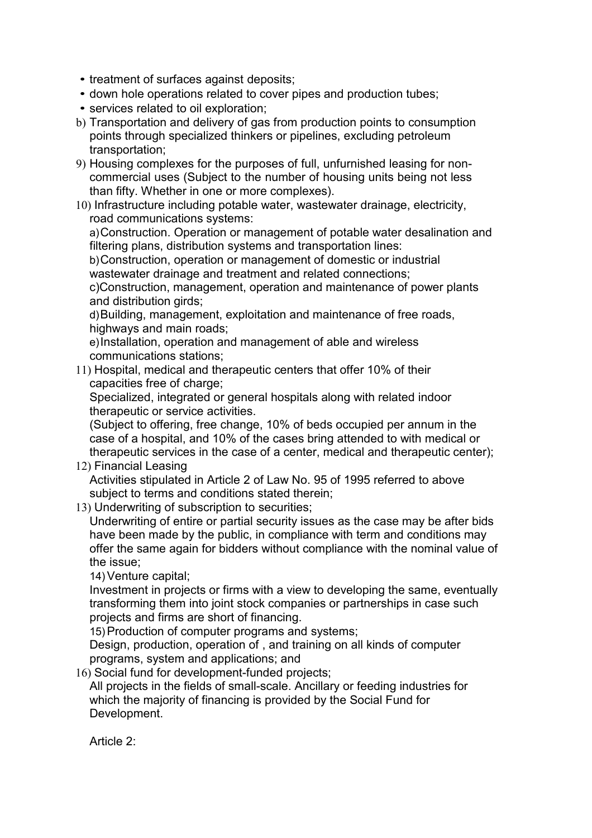- treatment of surfaces against deposits;
- down hole operations related to cover pipes and production tubes;
- services related to oil exploration;
- b) Transportation and delivery of gas from production points to consumption points through specialized thinkers or pipelines, excluding petroleum transportation;
- 9) Housing complexes for the purposes of full, unfurnished leasing for noncommercial uses (Subject to the number of housing units being not less than fifty. Whether in one or more complexes).
- 10) Infrastructure including potable water, wastewater drainage, electricity, road communications systems:

a) Construction. Operation or management of potable water desalination and filtering plans, distribution systems and transportation lines:

b) Construction, operation or management of domestic or industrial wastewater drainage and treatment and related connections;

c)Construction, management, operation and maintenance of power plants and distribution girds:

d) Building, management, exploitation and maintenance of free roads, highways and main roads;

e) Installation, operation and management of able and wireless communications stations;

11) Hospital, medical and therapeutic centers that offer 10% of their capacities free of charge;

Specialized, integrated or general hospitals along with related indoor therapeutic or service activities.

(Subject to offering, free change, 10% of beds occupied per annum in the case of a hospital, and 10% of the cases bring attended to with medical or therapeutic services in the case of a center, medical and therapeutic center);

12) Financial Leasing

Activities stipulated in Article 2 of Law No. 95 of 1995 referred to above subject to terms and conditions stated therein;

13) Underwriting of subscription to securities;

Underwriting of entire or partial security issues as the case may be after bids have been made by the public, in compliance with term and conditions may offer the same again for bidders without compliance with the nominal value of the issue;

14) Venture capital;

Investment in projects or firms with a view to developing the same, eventually transforming them into joint stock companies or partnerships in case such projects and firms are short of financing.

15) Production of computer programs and systems;

Design, production, operation of , and training on all kinds of computer programs, system and applications; and

16) Social fund for development-funded projects;

All projects in the fields of small-scale. Ancillary or feeding industries for which the majority of financing is provided by the Social Fund for Development.

Article 2: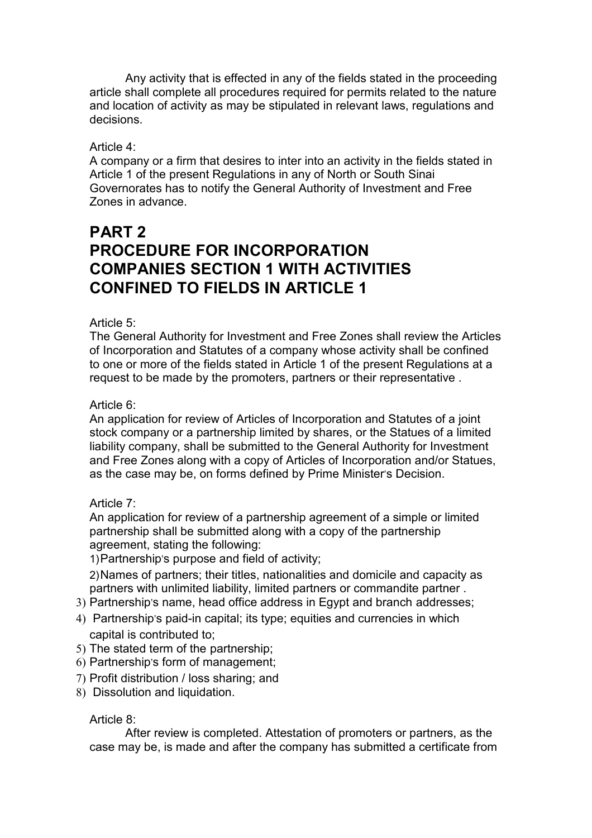Any activity that is effected in any of the fields stated in the proceeding article shall complete all procedures required for permits related to the nature and location of activity as may be stipulated in relevant laws, regulations and decisions.

## Article 4:

A company or a firm that desires to inter into an activity in the fields stated in Article 1 of the present Regulations in any of North or South Sinai Governorates has to notify the General Authority of Investment and Free Zones in advance.

# **PART 2 PROCEDURE FOR INCORPORATION COMPANIES SECTION 1 WITH ACTIVITIES CONFINED TO FIELDS IN ARTICLE 1**

## Article 5:

The General Authority for Investment and Free Zones shall review the Articles of Incorporation and Statutes of a company whose activity shall be confined to one or more of the fields stated in Article 1 of the present Regulations at a request to be made by the promoters, partners or their representative .

## Article 6:

An application for review of Articles of Incorporation and Statutes of a joint stock company or a partnership limited by shares, or the Statues of a limited liability company, shall be submitted to the General Authority for Investment and Free Zones along with a copy of Articles of Incorporation and/or Statues, as the case may be, on forms defined by Prime Minister's Decision.

## Article 7:

An application for review of a partnership agreement of a simple or limited partnership shall be submitted along with a copy of the partnership agreement, stating the following:

1) Partnership's purpose and field of activity;

2) Names of partners; their titles, nationalities and domicile and capacity as partners with unlimited liability, limited partners or commandite partner .

- 3) Partnership's name, head office address in Egypt and branch addresses;
- 4) Partnership's paid-in capital; its type; equities and currencies in which capital is contributed to;
- 5) The stated term of the partnership;
- 6) Partnership's form of management;
- 7) Profit distribution / loss sharing; and
- 8) Dissolution and liquidation.

## Article 8:

After review is completed. Attestation of promoters or partners, as the case may be, is made and after the company has submitted a certificate from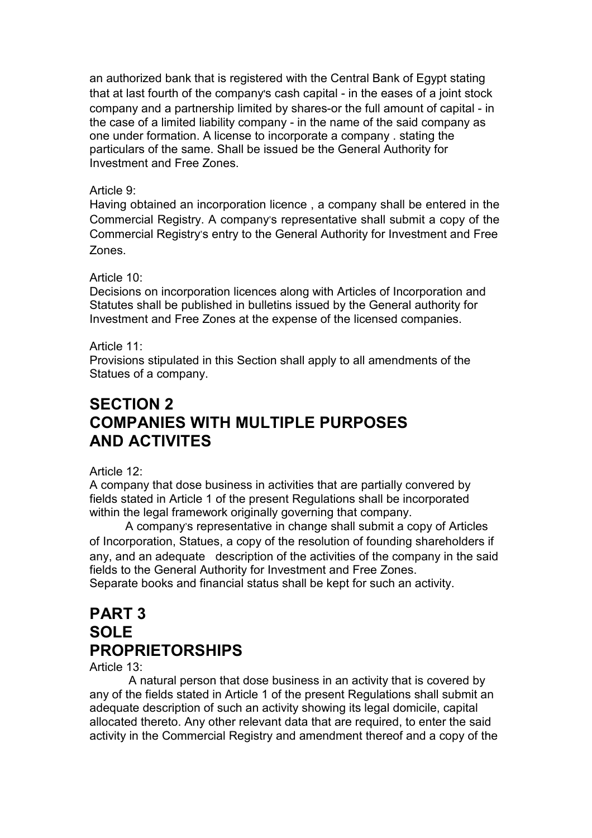an authorized bank that is registered with the Central Bank of Egypt stating that at last fourth of the company's cash capital - in the eases of a joint stock company and a partnership limited by shares-or the full amount of capital - in the case of a limited liability company - in the name of the said company as one under formation. A license to incorporate a company . stating the particulars of the same. Shall be issued be the General Authority for Investment and Free Zones.

# Article 9:

Having obtained an incorporation licence , a company shall be entered in the Commercial Registry. A company's representative shall submit a copy of the Commercial Registry's entry to the General Authority for Investment and Free Zones.

# Article 10:

Decisions on incorporation licences along with Articles of Incorporation and Statutes shall be published in bulletins issued by the General authority for Investment and Free Zones at the expense of the licensed companies.

# Article 11:

Provisions stipulated in this Section shall apply to all amendments of the Statues of a company.

# **SECTION 2 COMPANIES WITH MULTIPLE PURPOSES AND ACTIVITES**

# Article 12:

A company that dose business in activities that are partially convered by fields stated in Article 1 of the present Regulations shall be incorporated within the legal framework originally governing that company.

A company's representative in change shall submit a copy of Articles of Incorporation, Statues, a copy of the resolution of founding shareholders if any, and an adequate description of the activities of the company in the said fields to the General Authority for Investment and Free Zones. Separate books and financial status shall be kept for such an activity.

# **PART 3 SOLE PROPRIETORSHIPS**

Article 13:

A natural person that dose business in an activity that is covered by any of the fields stated in Article 1 of the present Regulations shall submit an adequate description of such an activity showing its legal domicile, capital allocated thereto. Any other relevant data that are required, to enter the said activity in the Commercial Registry and amendment thereof and a copy of the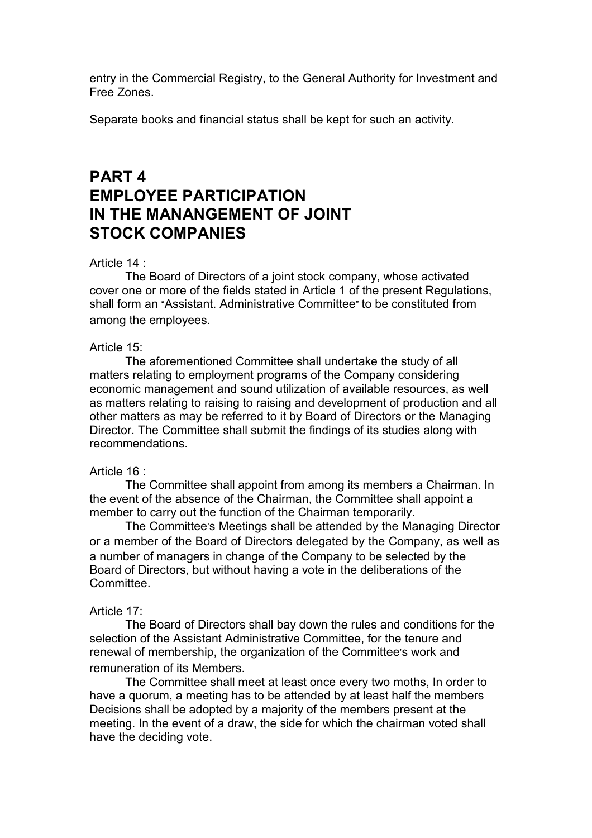entry in the Commercial Registry, to the General Authority for Investment and Free Zones.

Separate books and financial status shall be kept for such an activity.

# **PART 4 EMPLOYEE PARTICIPATION IN THE MANANGEMENT OF JOINT STOCK COMPANIES**

## Article 14 :

The Board of Directors of a joint stock company, whose activated cover one or more of the fields stated in Article 1 of the present Regulations, shall form an "Assistant. Administrative Committee" to be constituted from among the employees.

## Article 15:

The aforementioned Committee shall undertake the study of all matters relating to employment programs of the Company considering economic management and sound utilization of available resources, as well as matters relating to raising to raising and development of production and all other matters as may be referred to it by Board of Directors or the Managing Director. The Committee shall submit the findings of its studies along with recommendations.

## Article 16 :

The Committee shall appoint from among its members a Chairman. In the event of the absence of the Chairman, the Committee shall appoint a member to carry out the function of the Chairman temporarily.

The Committee's Meetings shall be attended by the Managing Director or a member of the Board of Directors delegated by the Company, as well as a number of managers in change of the Company to be selected by the Board of Directors, but without having a vote in the deliberations of the Committee.

## Article 17:

The Board of Directors shall bay down the rules and conditions for the selection of the Assistant Administrative Committee, for the tenure and renewal of membership, the organization of the Committee's work and remuneration of its Members.

The Committee shall meet at least once every two moths, In order to have a quorum, a meeting has to be attended by at least half the members Decisions shall be adopted by a majority of the members present at the meeting. In the event of a draw, the side for which the chairman voted shall have the deciding vote.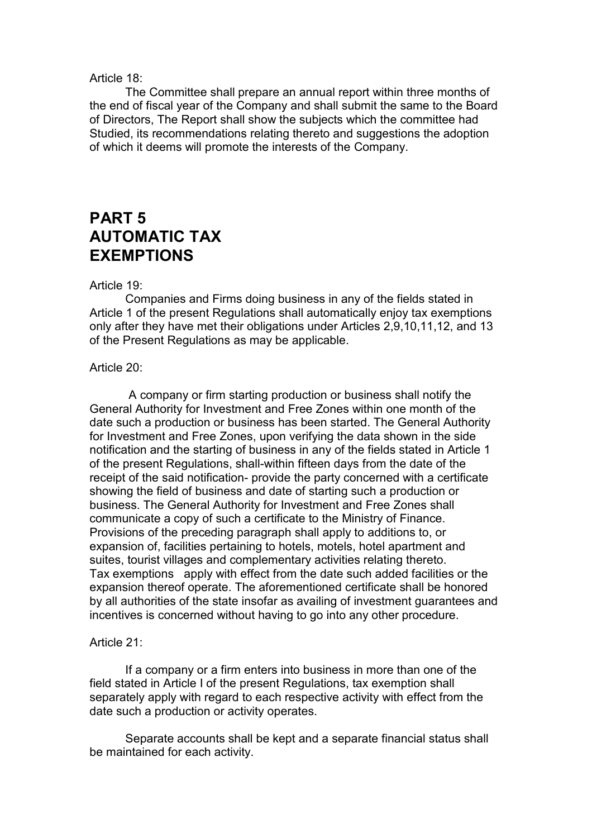## Article 18:

The Committee shall prepare an annual report within three months of the end of fiscal year of the Company and shall submit the same to the Board of Directors, The Report shall show the subjects which the committee had Studied, its recommendations relating thereto and suggestions the adoption of which it deems will promote the interests of the Company.

# **PART 5 AUTOMATIC TAX EXEMPTIONS**

## Article 19:

Companies and Firms doing business in any of the fields stated in Article 1 of the present Regulations shall automatically enjoy tax exemptions only after they have met their obligations under Articles 2,9,10,11,12, and 13 of the Present Regulations as may be applicable.

## Article 20:

A company or firm starting production or business shall notify the General Authority for Investment and Free Zones within one month of the date such a production or business has been started. The General Authority for Investment and Free Zones, upon verifying the data shown in the side notification and the starting of business in any of the fields stated in Article 1 of the present Regulations, shall-within fifteen days from the date of the receipt of the said notification- provide the party concerned with a certificate showing the field of business and date of starting such a production or business. The General Authority for Investment and Free Zones shall communicate a copy of such a certificate to the Ministry of Finance. Provisions of the preceding paragraph shall apply to additions to, or expansion of, facilities pertaining to hotels, motels, hotel apartment and suites, tourist villages and complementary activities relating thereto. Tax exemptions apply with effect from the date such added facilities or the expansion thereof operate. The aforementioned certificate shall be honored by all authorities of the state insofar as availing of investment guarantees and incentives is concerned without having to go into any other procedure.

## Article 21:

If a company or a firm enters into business in more than one of the field stated in Article I of the present Regulations, tax exemption shall separately apply with regard to each respective activity with effect from the date such a production or activity operates.

Separate accounts shall be kept and a separate financial status shall be maintained for each activity.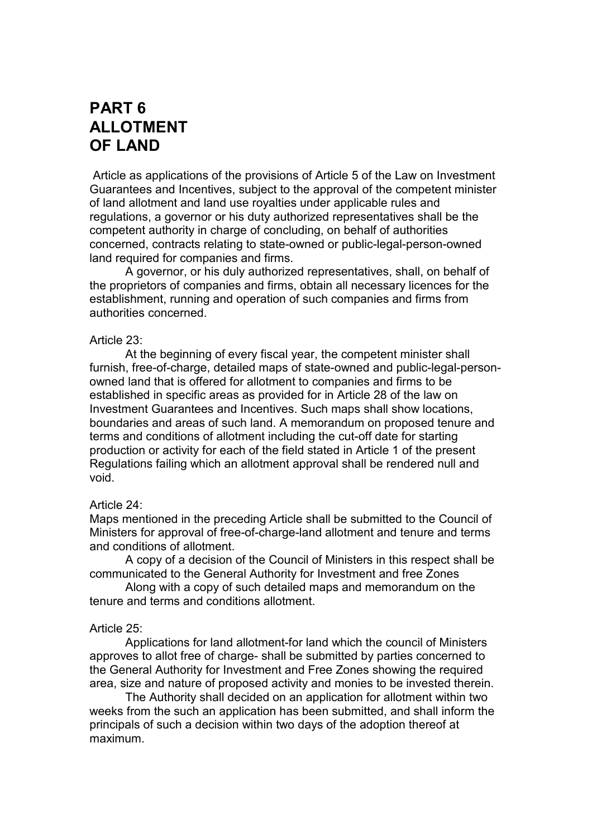# **PART 6 ALLOTMENT OF LAND**

Article as applications of the provisions of Article 5 of the Law on Investment Guarantees and Incentives, subject to the approval of the competent minister of land allotment and land use royalties under applicable rules and regulations, a governor or his duty authorized representatives shall be the competent authority in charge of concluding, on behalf of authorities concerned, contracts relating to state-owned or public-legal-person-owned land required for companies and firms.

A governor, or his duly authorized representatives, shall, on behalf of the proprietors of companies and firms, obtain all necessary licences for the establishment, running and operation of such companies and firms from authorities concerned.

## Article 23:

At the beginning of every fiscal year, the competent minister shall furnish, free-of-charge, detailed maps of state-owned and public-legal-personowned land that is offered for allotment to companies and firms to be established in specific areas as provided for in Article 28 of the law on Investment Guarantees and Incentives. Such maps shall show locations, boundaries and areas of such land. A memorandum on proposed tenure and terms and conditions of allotment including the cut-off date for starting production or activity for each of the field stated in Article 1 of the present Regulations failing which an allotment approval shall be rendered null and void.

## Article 24:

Maps mentioned in the preceding Article shall be submitted to the Council of Ministers for approval of free-of-charge-land allotment and tenure and terms and conditions of allotment.

A copy of a decision of the Council of Ministers in this respect shall be communicated to the General Authority for Investment and free Zones

Along with a copy of such detailed maps and memorandum on the tenure and terms and conditions allotment.

## Article 25:

Applications for land allotment-for land which the council of Ministers approves to allot free of charge- shall be submitted by parties concerned to the General Authority for Investment and Free Zones showing the required area, size and nature of proposed activity and monies to be invested therein.

The Authority shall decided on an application for allotment within two weeks from the such an application has been submitted, and shall inform the principals of such a decision within two days of the adoption thereof at maximum.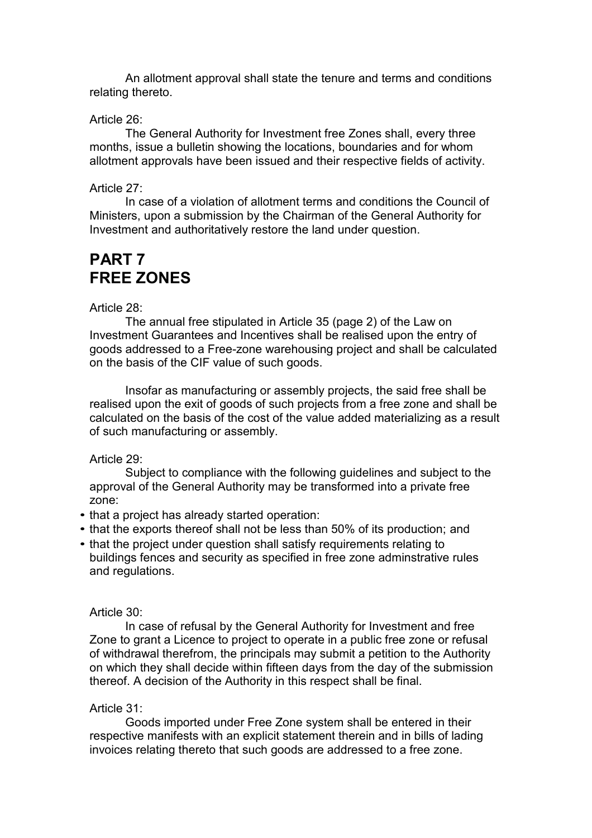An allotment approval shall state the tenure and terms and conditions relating thereto.

## Article 26:

The General Authority for Investment free Zones shall, every three months, issue a bulletin showing the locations, boundaries and for whom allotment approvals have been issued and their respective fields of activity.

## Article 27:

In case of a violation of allotment terms and conditions the Council of Ministers, upon a submission by the Chairman of the General Authority for Investment and authoritatively restore the land under question.

# **PART 7 FREE ZONES**

### Article 28:

The annual free stipulated in Article 35 (page 2) of the Law on Investment Guarantees and Incentives shall be realised upon the entry of goods addressed to a Free-zone warehousing project and shall be calculated on the basis of the CIF value of such goods.

Insofar as manufacturing or assembly projects, the said free shall be realised upon the exit of goods of such projects from a free zone and shall be calculated on the basis of the cost of the value added materializing as a result of such manufacturing or assembly.

## Article 29:

Subject to compliance with the following guidelines and subject to the approval of the General Authority may be transformed into a private free zone:

- that a project has already started operation:
- that the exports thereof shall not be less than 50% of its production; and
- that the project under question shall satisfy requirements relating to buildings fences and security as specified in free zone adminstrative rules and regulations.

#### Article 30:

In case of refusal by the General Authority for Investment and free Zone to grant a Licence to project to operate in a public free zone or refusal of withdrawal therefrom, the principals may submit a petition to the Authority on which they shall decide within fifteen days from the day of the submission thereof. A decision of the Authority in this respect shall be final.

## Article 31:

Goods imported under Free Zone system shall be entered in their respective manifests with an explicit statement therein and in bills of lading invoices relating thereto that such goods are addressed to a free zone.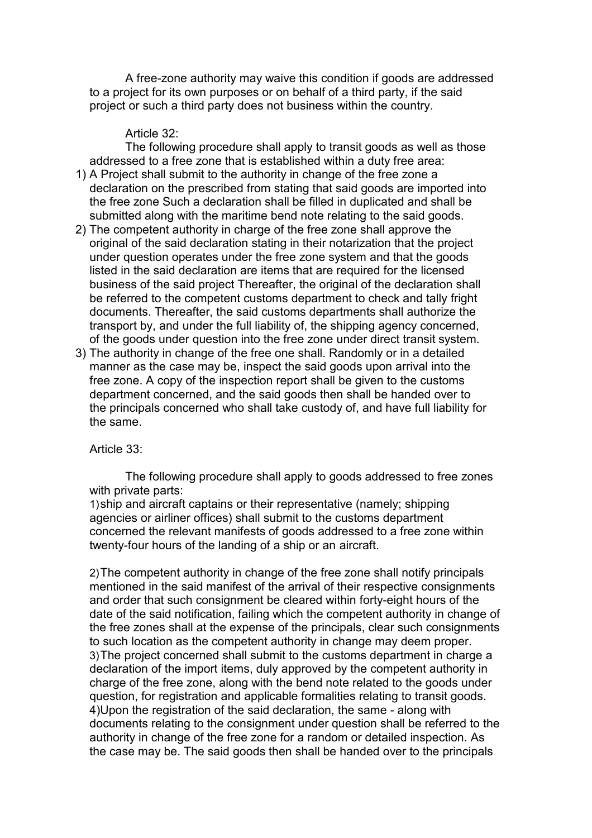A free-zone authority may waive this condition if goods are addressed to a project for its own purposes or on behalf of a third party, if the said project or such a third party does not business within the country.

## Article 32:

The following procedure shall apply to transit goods as well as those addressed to a free zone that is established within a duty free area:

- 1) A Project shall submit to the authority in change of the free zone a declaration on the prescribed from stating that said goods are imported into the free zone Such a declaration shall be filled in duplicated and shall be submitted along with the maritime bend note relating to the said goods.
- 2) The competent authority in charge of the free zone shall approve the original of the said declaration stating in their notarization that the project under question operates under the free zone system and that the goods listed in the said declaration are items that are required for the licensed business of the said project Thereafter, the original of the declaration shall be referred to the competent customs department to check and tally fright documents. Thereafter, the said customs departments shall authorize the transport by, and under the full liability of, the shipping agency concerned, of the goods under question into the free zone under direct transit system.
- 3) The authority in change of the free one shall. Randomly or in a detailed manner as the case may be, inspect the said goods upon arrival into the free zone. A copy of the inspection report shall be given to the customs department concerned, and the said goods then shall be handed over to the principals concerned who shall take custody of, and have full liability for the same.

Article 33:

The following procedure shall apply to goods addressed to free zones with private parts:

1) ship and aircraft captains or their representative (namely; shipping agencies or airliner offices) shall submit to the customs department concerned the relevant manifests of goods addressed to a free zone within twenty-four hours of the landing of a ship or an aircraft.

2) The competent authority in change of the free zone shall notify principals mentioned in the said manifest of the arrival of their respective consignments and order that such consignment be cleared within forty-eight hours of the date of the said notification, failing which the competent authority in change of the free zones shall at the expense of the principals, clear such consignments to such location as the competent authority in change may deem proper. 3) The project concerned shall submit to the customs department in charge a declaration of the import items, duly approved by the competent authority in charge of the free zone, along with the bend note related to the goods under question, for registration and applicable formalities relating to transit goods. 4)Upon the registration of the said declaration, the same - along with documents relating to the consignment under question shall be referred to the authority in change of the free zone for a random or detailed inspection. As the case may be. The said goods then shall be handed over to the principals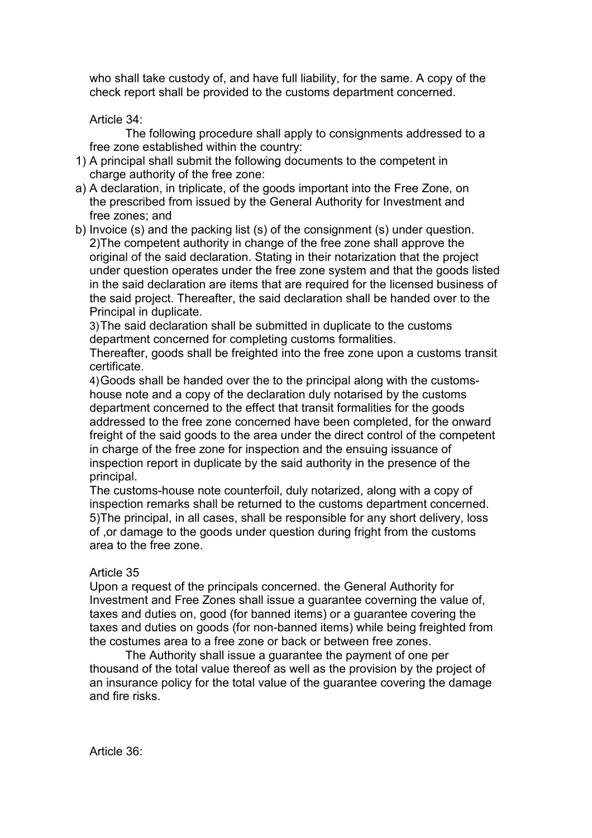who shall take custody of, and have full liability, for the same. A copy of the check report shall be provided to the customs department concerned.

Article 34:

The following procedure shall apply to consignments addressed to a free zone established within the country:

- 1) A principal shall submit the following documents to the competent in charge authority of the free zone:
- a) A declaration, in triplicate, of the goods important into the Free Zone, on the prescribed from issued by the General Authority for Investment and free zones; and
- b) Invoice (s) and the packing list (s) of the consignment (s) under question. 2)The competent authority in change of the free zone shall approve the original of the said declaration. Stating in their notarization that the project under question operates under the free zone system and that the goods listed in the said declaration are items that are required for the licensed business of the said project. Thereafter, the said declaration shall be handed over to the Principal in duplicate.

3) The said declaration shall be submitted in duplicate to the customs department concerned for completing customs formalities.

Thereafter, goods shall be freighted into the free zone upon a customs transit certificate.

4) Goods shall be handed over the to the principal along with the customshouse note and a copy of the declaration duly notarised by the customs department concerned to the effect that transit formalities for the goods addressed to the free zone concerned have been completed, for the onward freight of the said goods to the area under the direct control of the competent in charge of the free zone for inspection and the ensuing issuance of inspection report in duplicate by the said authority in the presence of the principal.

The customs-house note counterfoil, duly notarized, along with a copy of inspection remarks shall be returned to the customs department concerned. 5)The principal, in all cases, shall be responsible for any short delivery, loss of ,or damage to the goods under question during fright from the customs area to the free zone.

# Article 35

Upon a request of the principals concerned. the General Authority for Investment and Free Zones shall issue a guarantee coverning the value of, taxes and duties on, good (for banned items) or a guarantee covering the taxes and duties on goods (for non-banned items) while being freighted from the costumes area to a free zone or back or between free zones.

The Authority shall issue a guarantee the payment of one per thousand of the total value thereof as well as the provision by the project of an insurance policy for the total value of the guarantee covering the damage and fire risks.

Article 36: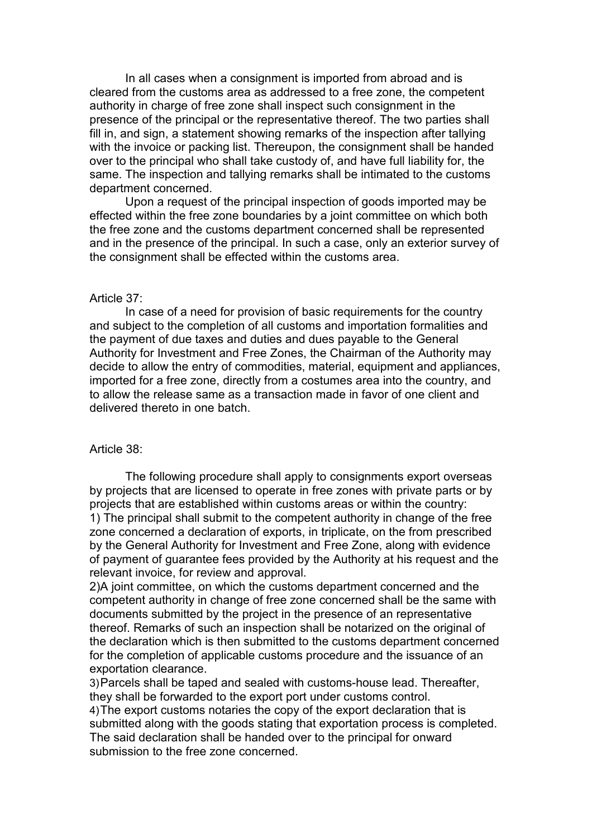In all cases when a consignment is imported from abroad and is cleared from the customs area as addressed to a free zone, the competent authority in charge of free zone shall inspect such consignment in the presence of the principal or the representative thereof. The two parties shall fill in, and sign, a statement showing remarks of the inspection after tallying with the invoice or packing list. Thereupon, the consignment shall be handed over to the principal who shall take custody of, and have full liability for, the same. The inspection and tallying remarks shall be intimated to the customs department concerned.

Upon a request of the principal inspection of goods imported may be effected within the free zone boundaries by a joint committee on which both the free zone and the customs department concerned shall be represented and in the presence of the principal. In such a case, only an exterior survey of the consignment shall be effected within the customs area.

## Article 37:

In case of a need for provision of basic requirements for the country and subject to the completion of all customs and importation formalities and the payment of due taxes and duties and dues payable to the General Authority for Investment and Free Zones, the Chairman of the Authority may decide to allow the entry of commodities, material, equipment and appliances, imported for a free zone, directly from a costumes area into the country, and to allow the release same as a transaction made in favor of one client and delivered thereto in one batch.

## Article 38:

The following procedure shall apply to consignments export overseas by projects that are licensed to operate in free zones with private parts or by projects that are established within customs areas or within the country: 1) The principal shall submit to the competent authority in change of the free zone concerned a declaration of exports, in triplicate, on the from prescribed by the General Authority for Investment and Free Zone, along with evidence of payment of guarantee fees provided by the Authority at his request and the relevant invoice, for review and approval.

2)A joint committee, on which the customs department concerned and the competent authority in change of free zone concerned shall be the same with documents submitted by the project in the presence of an representative thereof. Remarks of such an inspection shall be notarized on the original of the declaration which is then submitted to the customs department concerned for the completion of applicable customs procedure and the issuance of an exportation clearance.

3) Parcels shall be taped and sealed with customs-house lead. Thereafter, they shall be forwarded to the export port under customs control. 4) The export customs notaries the copy of the export declaration that is submitted along with the goods stating that exportation process is completed. The said declaration shall be handed over to the principal for onward submission to the free zone concerned.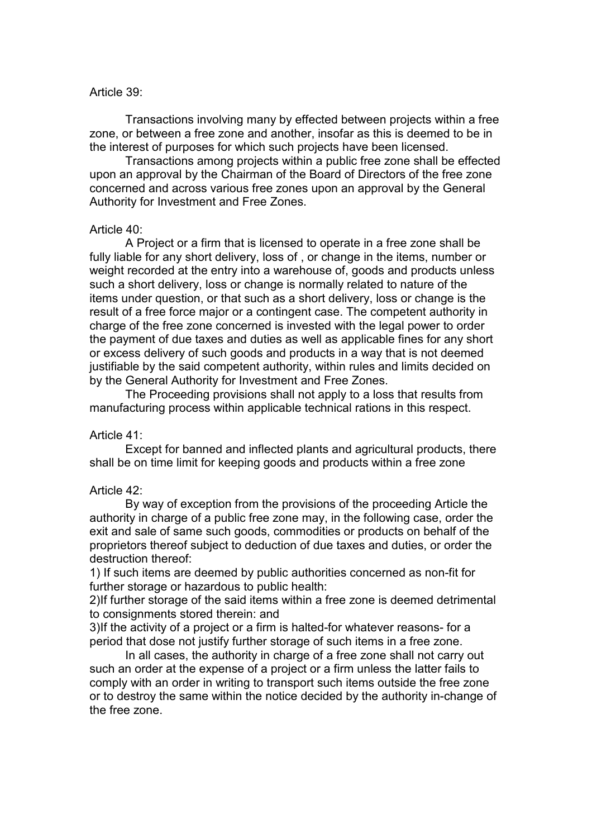## Article 39:

Transactions involving many by effected between projects within a free zone, or between a free zone and another, insofar as this is deemed to be in the interest of purposes for which such projects have been licensed.

Transactions among projects within a public free zone shall be effected upon an approval by the Chairman of the Board of Directors of the free zone concerned and across various free zones upon an approval by the General Authority for Investment and Free Zones.

## Article 40:

A Project or a firm that is licensed to operate in a free zone shall be fully liable for any short delivery, loss of , or change in the items, number or weight recorded at the entry into a warehouse of, goods and products unless such a short delivery, loss or change is normally related to nature of the items under question, or that such as a short delivery, loss or change is the result of a free force major or a contingent case. The competent authority in charge of the free zone concerned is invested with the legal power to order the payment of due taxes and duties as well as applicable fines for any short or excess delivery of such goods and products in a way that is not deemed justifiable by the said competent authority, within rules and limits decided on by the General Authority for Investment and Free Zones.

The Proceeding provisions shall not apply to a loss that results from manufacturing process within applicable technical rations in this respect.

## Article 41:

Except for banned and inflected plants and agricultural products, there shall be on time limit for keeping goods and products within a free zone

## Article 42:

By way of exception from the provisions of the proceeding Article the authority in charge of a public free zone may, in the following case, order the exit and sale of same such goods, commodities or products on behalf of the proprietors thereof subject to deduction of due taxes and duties, or order the destruction thereof:

1) If such items are deemed by public authorities concerned as non-fit for further storage or hazardous to public health:

2) If further storage of the said items within a free zone is deemed detrimental to consignments stored therein: and

3) If the activity of a project or a firm is halted-for whatever reasons- for a period that dose not justify further storage of such items in a free zone.

In all cases, the authority in charge of a free zone shall not carry out such an order at the expense of a project or a firm unless the latter fails to comply with an order in writing to transport such items outside the free zone or to destroy the same within the notice decided by the authority in-change of the free zone.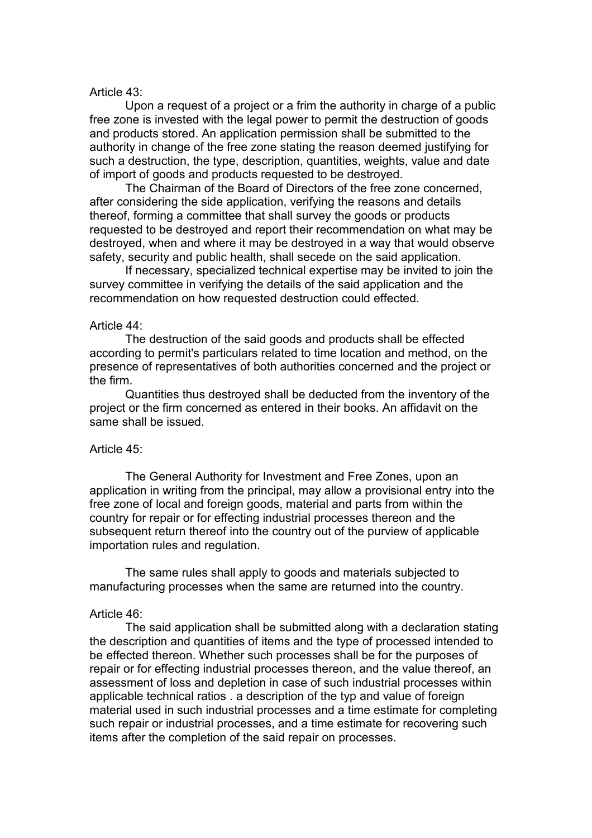## Article 43:

Upon a request of a project or a frim the authority in charge of a public free zone is invested with the legal power to permit the destruction of goods and products stored. An application permission shall be submitted to the authority in change of the free zone stating the reason deemed justifying for such a destruction, the type, description, quantities, weights, value and date of import of goods and products requested to be destroyed.

The Chairman of the Board of Directors of the free zone concerned, after considering the side application, verifying the reasons and details thereof, forming a committee that shall survey the goods or products requested to be destroyed and report their recommendation on what may be destroyed, when and where it may be destroyed in a way that would observe safety, security and public health, shall secede on the said application.

If necessary, specialized technical expertise may be invited to join the survey committee in verifying the details of the said application and the recommendation on how requested destruction could effected.

## Article 44:

The destruction of the said goods and products shall be effected according to permit's particulars related to time location and method, on the presence of representatives of both authorities concerned and the project or the firm.

Quantities thus destroyed shall be deducted from the inventory of the project or the firm concerned as entered in their books. An affidavit on the same shall be issued.

## Article 45:

The General Authority for Investment and Free Zones, upon an application in writing from the principal, may allow a provisional entry into the free zone of local and foreign goods, material and parts from within the country for repair or for effecting industrial processes thereon and the subsequent return thereof into the country out of the purview of applicable importation rules and regulation.

The same rules shall apply to goods and materials subjected to manufacturing processes when the same are returned into the country.

## Article 46:

The said application shall be submitted along with a declaration stating the description and quantities of items and the type of processed intended to be effected thereon. Whether such processes shall be for the purposes of repair or for effecting industrial processes thereon, and the value thereof, an assessment of loss and depletion in case of such industrial processes within applicable technical ratios . a description of the typ and value of foreign material used in such industrial processes and a time estimate for completing such repair or industrial processes, and a time estimate for recovering such items after the completion of the said repair on processes.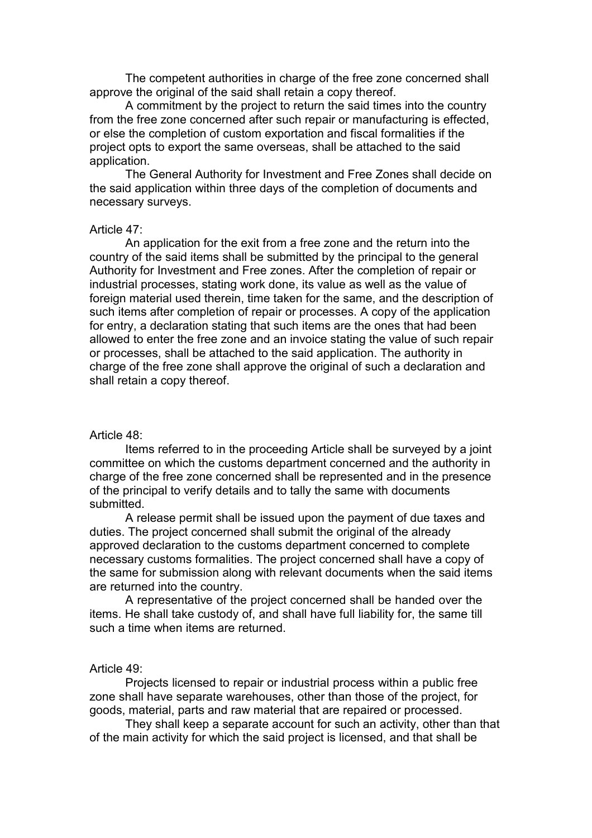The competent authorities in charge of the free zone concerned shall approve the original of the said shall retain a copy thereof.

A commitment by the project to return the said times into the country from the free zone concerned after such repair or manufacturing is effected, or else the completion of custom exportation and fiscal formalities if the project opts to export the same overseas, shall be attached to the said application.

The General Authority for Investment and Free Zones shall decide on the said application within three days of the completion of documents and necessary surveys.

## Article 47:

An application for the exit from a free zone and the return into the country of the said items shall be submitted by the principal to the general Authority for Investment and Free zones. After the completion of repair or industrial processes, stating work done, its value as well as the value of foreign material used therein, time taken for the same, and the description of such items after completion of repair or processes. A copy of the application for entry, a declaration stating that such items are the ones that had been allowed to enter the free zone and an invoice stating the value of such repair or processes, shall be attached to the said application. The authority in charge of the free zone shall approve the original of such a declaration and shall retain a copy thereof.

## Article 48:

Items referred to in the proceeding Article shall be surveyed by a joint committee on which the customs department concerned and the authority in charge of the free zone concerned shall be represented and in the presence of the principal to verify details and to tally the same with documents submitted.

A release permit shall be issued upon the payment of due taxes and duties. The project concerned shall submit the original of the already approved declaration to the customs department concerned to complete necessary customs formalities. The project concerned shall have a copy of the same for submission along with relevant documents when the said items are returned into the country.

A representative of the project concerned shall be handed over the items. He shall take custody of, and shall have full liability for, the same till such a time when items are returned.

### Article 49:

Projects licensed to repair or industrial process within a public free zone shall have separate warehouses, other than those of the project, for goods, material, parts and raw material that are repaired or processed.

They shall keep a separate account for such an activity, other than that of the main activity for which the said project is licensed, and that shall be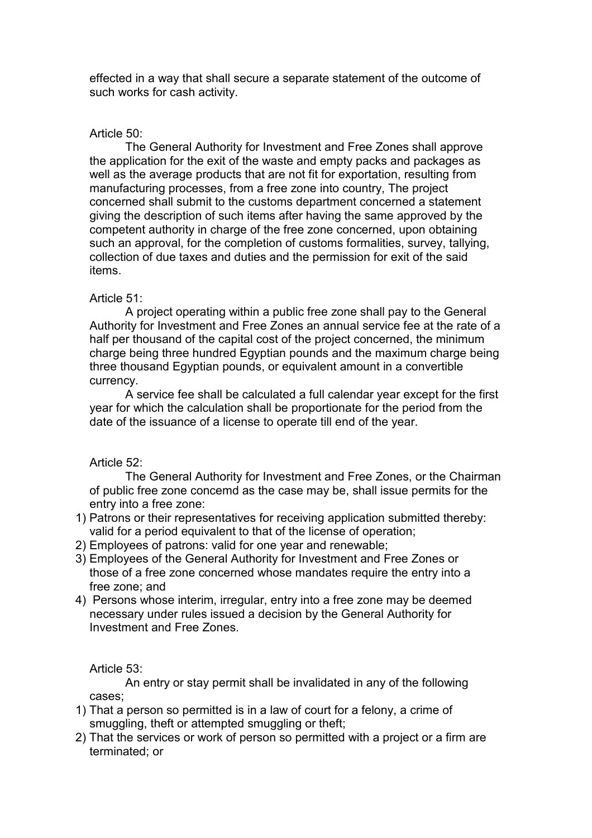effected in a way that shall secure a separate statement of the outcome of such works for cash activity.

# Article 50:

The General Authority for Investment and Free Zones shall approve the application for the exit of the waste and empty packs and packages as well as the average products that are not fit for exportation, resulting from manufacturing processes, from a free zone into country, The project concerned shall submit to the customs department concerned a statement giving the description of such items after having the same approved by the competent authority in charge of the free zone concerned, upon obtaining such an approval, for the completion of customs formalities, survey, tallying, collection of due taxes and duties and the permission for exit of the said items.

# Article 51:

A project operating within a public free zone shall pay to the General Authority for Investment and Free Zones an annual service fee at the rate of a half per thousand of the capital cost of the project concerned, the minimum charge being three hundred Egyptian pounds and the maximum charge being three thousand Egyptian pounds, or equivalent amount in a convertible currency.

A service fee shall be calculated a full calendar year except for the first year for which the calculation shall be proportionate for the period from the date of the issuance of a license to operate till end of the year.

# Article 52:

The General Authority for Investment and Free Zones, or the Chairman of public free zone concemd as the case may be, shall issue permits for the entry into a free zone:

- 1) Patrons or their representatives for receiving application submitted thereby: valid for a period equivalent to that of the license of operation;
- 2) Employees of patrons: valid for one year and renewable;
- 3) Employees of the General Authority for Investment and Free Zones or those of a free zone concerned whose mandates require the entry into a free zone; and
- 4) Persons whose interim, irregular, entry into a free zone may be deemed necessary under rules issued a decision by the General Authority for Investment and Free Zones.

Article 53:

An entry or stay permit shall be invalidated in any of the following cases;

- 1) That a person so permitted is in a law of court for a felony, a crime of smuggling, theft or attempted smuggling or theft;
- 2) That the services or work of person so permitted with a project or a firm are terminated; or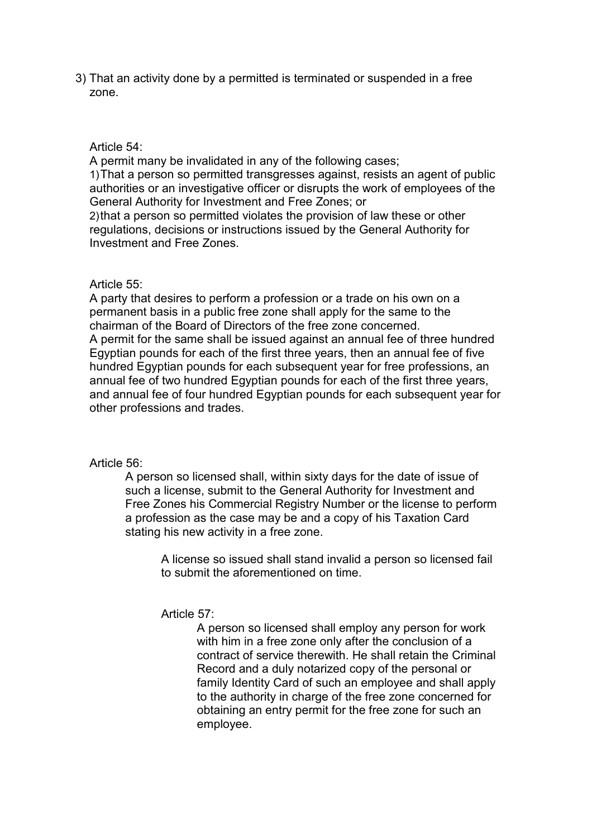3) That an activity done by a permitted is terminated or suspended in a free zone.

Article 54:

A permit many be invalidated in any of the following cases;

1) That a person so permitted transgresses against, resists an agent of public authorities or an investigative officer or disrupts the work of employees of the General Authority for Investment and Free Zones; or

2) that a person so permitted violates the provision of law these or other regulations, decisions or instructions issued by the General Authority for Investment and Free Zones.

## Article 55:

A party that desires to perform a profession or a trade on his own on a permanent basis in a public free zone shall apply for the same to the chairman of the Board of Directors of the free zone concerned. A permit for the same shall be issued against an annual fee of three hundred Egyptian pounds for each of the first three years, then an annual fee of five hundred Egyptian pounds for each subsequent year for free professions, an annual fee of two hundred Egyptian pounds for each of the first three years, and annual fee of four hundred Egyptian pounds for each subsequent year for other professions and trades.

## Article 56:

A person so licensed shall, within sixty days for the date of issue of such a license, submit to the General Authority for Investment and Free Zones his Commercial Registry Number or the license to perform a profession as the case may be and a copy of his Taxation Card stating his new activity in a free zone.

A license so issued shall stand invalid a person so licensed fail to submit the aforementioned on time.

## Article 57:

A person so licensed shall employ any person for work with him in a free zone only after the conclusion of a contract of service therewith. He shall retain the Criminal Record and a duly notarized copy of the personal or family Identity Card of such an employee and shall apply to the authority in charge of the free zone concerned for obtaining an entry permit for the free zone for such an employee.